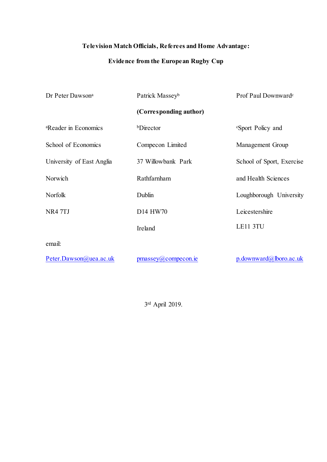## **Television Match Officials, Referees and Home Advantage:**

# **Evidence from the European Rugby Cup**

| Dr Peter Dawson <sup>a</sup>     | Patrick Masseyb              | Prof Paul Downward <sup>c</sup> |  |  |
|----------------------------------|------------------------------|---------------------------------|--|--|
|                                  | (Corresponding author)       |                                 |  |  |
| <sup>a</sup> Reader in Economics | <b>bDirector</b>             | <i>c</i> Sport Policy and       |  |  |
| School of Economics              | Compecon Limited             | Management Group                |  |  |
| University of East Anglia        | 37 Willowbank Park           | School of Sport, Exercise       |  |  |
| Norwich                          | Rathfarnham                  | and Health Sciences             |  |  |
| Norfolk                          | Dublin                       | Loughborough University         |  |  |
| NR4 7TJ                          | D14 HW70                     | Leicestershire                  |  |  |
|                                  | Ireland                      | LE11 3TU                        |  |  |
| email:                           |                              |                                 |  |  |
| Peter.Dawson@uea.ac.uk           | $p$ massey $(a)$ compecon.ie | $p$ .downward@lboro.ac.uk       |  |  |

3 rd April 2019.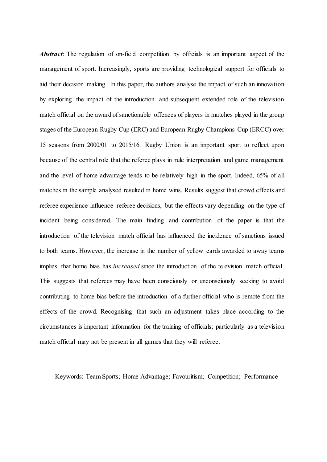*Abstract*: The regulation of on-field competition by officials is an important aspect of the management of sport. Increasingly, sports are providing technological support for officials to aid their decision making. In this paper, the authors analyse the impact of such an innovation by exploring the impact of the introduction and subsequent extended role of the television match official on the award of sanctionable offences of players in matches played in the group stages of the European Rugby Cup (ERC) and European Rugby Champions Cup (ERCC) over 15 seasons from 2000/01 to 2015/16. Rugby Union is an important sport to reflect upon because of the central role that the referee plays in rule interpretation and game management and the level of home advantage tends to be relatively high in the sport. Indeed, 65% of all matches in the sample analysed resulted in home wins. Results suggest that crowd effects and referee experience influence referee decisions, but the effects vary depending on the type of incident being considered. The main finding and contribution of the paper is that the introduction of the television match official has influenced the incidence of sanctions issued to both teams. However, the increase in the number of yellow cards awarded to away teams implies that home bias has *increased* since the introduction of the television match official. This suggests that referees may have been consciously or unconsciously seeking to avoid contributing to home bias before the introduction of a further official who is remote from the effects of the crowd. Recognising that such an adjustment takes place according to the circumstances is important information for the training of officials; particularly as a television match official may not be present in all games that they will referee.

Keywords: Team Sports; Home Advantage; Favouritism; Competition; Performance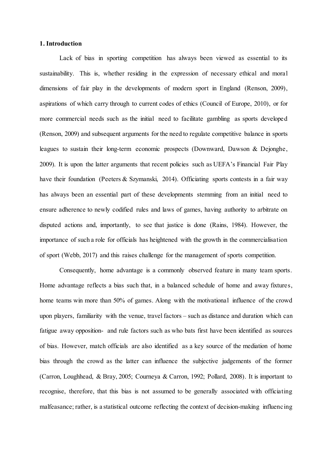### **1. Introduction**

Lack of bias in sporting competition has always been viewed as essential to its sustainability. This is, whether residing in the expression of necessary ethical and moral dimensions of fair play in the developments of modern sport in England (Renson, 2009), aspirations of which carry through to current codes of ethics (Council of Europe, 2010), or for more commercial needs such as the initial need to facilitate gambling as sports developed (Renson, 2009) and subsequent arguments for the need to regulate competitive balance in sports leagues to sustain their long-term economic prospects (Downward, Dawson & Dejonghe, 2009). It is upon the latter arguments that recent policies such as UEFA's Financial Fair Play have their foundation (Peeters & Szymanski, 2014). Officiating sports contests in a fair way has always been an essential part of these developments stemming from an initial need to ensure adherence to newly codified rules and laws of games, having authority to arbitrate on disputed actions and, importantly, to see that justice is done (Rains, 1984). However, the importance of such a role for officials has heightened with the growth in the commercialisation of sport (Webb, 2017) and this raises challenge for the management of sports competition.

Consequently, home advantage is a commonly observed feature in many team sports. Home advantage reflects a bias such that, in a balanced schedule of home and away fixtures, home teams win more than 50% of games. Along with the motivational influence of the crowd upon players, familiarity with the venue, travel factors – such as distance and duration which can fatigue away opposition- and rule factors such as who bats first have been identified as sources of bias. However, match officials are also identified as a key source of the mediation of home bias through the crowd as the latter can influence the subjective judgements of the former (Carron, Loughhead, & Bray, 2005; Courneya & Carron, 1992; Pollard, 2008). It is important to recognise, therefore, that this bias is not assumed to be generally associated with officiating malfeasance; rather, is a statistical outcome reflecting the context of decision-making influencing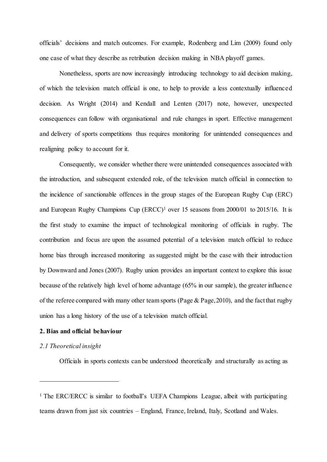officials' decisions and match outcomes. For example, Rodenberg and Lim (2009) found only one case of what they describe as retribution decision making in NBA playoff games.

Nonetheless, sports are now increasingly introducing technology to aid decision making, of which the television match official is one, to help to provide a less contextually influenced decision. As Wright (2014) and Kendall and Lenten (2017) note, however, unexpected consequences can follow with organisational and rule changes in sport. Effective management and delivery of sports competitions thus requires monitoring for unintended consequences and realigning policy to account for it.

Consequently, we consider whether there were unintended consequences associated with the introduction, and subsequent extended role, of the television match official in connection to the incidence of sanctionable offences in the group stages of the European Rugby Cup (ERC) and European Rugby Champions Cup  $(ERC)$ <sup>1</sup> over 15 seasons from 2000/01 to 2015/16. It is the first study to examine the impact of technological monitoring of officials in rugby. The contribution and focus are upon the assumed potential of a television match official to reduce home bias through increased monitoring as suggested might be the case with their introduction by Downward and Jones (2007). Rugby union provides an important context to explore this issue because of the relatively high level of home advantage (65% in our sample), the greater influence of the referee compared with many other team sports (Page  $&$  Page, 2010), and the fact that rugby union has a long history of the use of a television match official.

### **2. Bias and official behaviour**

### *2.1 Theoretical insight*

l

Officials in sports contexts can be understood theoretically and structurally as acting as

<sup>&</sup>lt;sup>1</sup> The ERC/ERCC is similar to football's UEFA Champions League, albeit with participating teams drawn from just six countries – England, France, Ireland, Italy, Scotland and Wales.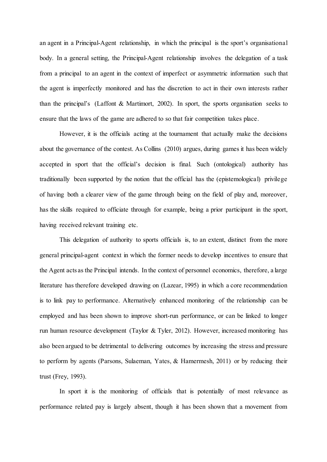an agent in a Principal-Agent relationship, in which the principal is the sport's organisational body. In a general setting, the Principal-Agent relationship involves the delegation of a task from a principal to an agent in the context of imperfect or asymmetric information such that the agent is imperfectly monitored and has the discretion to act in their own interests rather than the principal's (Laffont & Martimort, 2002). In sport, the sports organisation seeks to ensure that the laws of the game are adhered to so that fair competition takes place.

However, it is the officials acting at the tournament that actually make the decisions about the governance of the contest. As Collins (2010) argues, during games it has been widely accepted in sport that the official's decision is final. Such (ontological) authority has traditionally been supported by the notion that the official has the (epistemological) privilege of having both a clearer view of the game through being on the field of play and, moreover, has the skills required to officiate through for example, being a prior participant in the sport, having received relevant training etc.

This delegation of authority to sports officials is, to an extent, distinct from the more general principal-agent context in which the former needs to develop incentives to ensure that the Agent acts as the Principal intends. In the context of personnel economics, therefore, a large literature has therefore developed drawing on (Lazear, 1995) in which a core recommendation is to link pay to performance. Alternatively enhanced monitoring of the relationship can be employed and has been shown to improve short-run performance, or can be linked to longer run human resource development (Taylor & Tyler, 2012). However, increased monitoring has also been argued to be detrimental to delivering outcomes by increasing the stress and pressure to perform by agents (Parsons, Sulaeman, Yates, & Hamermesh, 2011) or by reducing their trust (Frey, 1993).

In sport it is the monitoring of officials that is potentially of most relevance as performance related pay is largely absent, though it has been shown that a movement from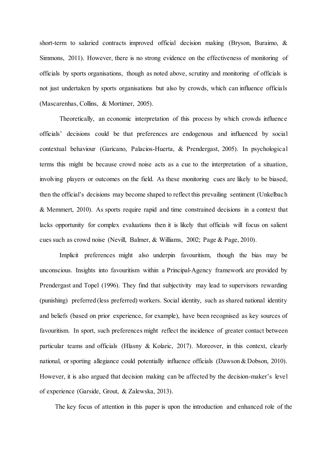short-term to salaried contracts improved official decision making (Bryson, Buraimo, & Simmons, 2011). However, there is no strong evidence on the effectiveness of monitoring of officials by sports organisations, though as noted above, scrutiny and monitoring of officials is not just undertaken by sports organisations but also by crowds, which can influence officials (Mascarenhas, Collins, & Mortimer, 2005).

Theoretically, an economic interpretation of this process by which crowds influence officials' decisions could be that preferences are endogenous and influenced by social contextual behaviour (Garicano, Palacios-Huerta, & Prendergast, 2005). In psychological terms this might be because crowd noise acts as a cue to the interpretation of a situation, involving players or outcomes on the field. As these monitoring cues are likely to be biased, then the official's decisions may become shaped to reflect this prevailing sentiment (Unkelbach & Memmert, 2010). As sports require rapid and time constrained decisions in a context that lacks opportunity for complex evaluations then it is likely that officials will focus on salient cues such as crowd noise (Nevill, Balmer, & Williams, 2002; Page & Page, 2010).

Implicit preferences might also underpin favouritism, though the bias may be unconscious. Insights into favouritism within a Principal-Agency framework are provided by Prendergast and Topel (1996). They find that subjectivity may lead to supervisors rewarding (punishing) preferred (less preferred) workers. Social identity, such as shared national identity and beliefs (based on prior experience, for example), have been recognised as key sources of favouritism. In sport, such preferences might reflect the incidence of greater contact between particular teams and officials (Hlasny & Kolaric, 2017). Moreover, in this context, clearly national, or sporting allegiance could potentially influence officials (Dawson & Dobson, 2010). However, it is also argued that decision making can be affected by the decision-maker's level of experience (Garside, Grout, & Zalewska, 2013).

The key focus of attention in this paper is upon the introduction and enhanced role of the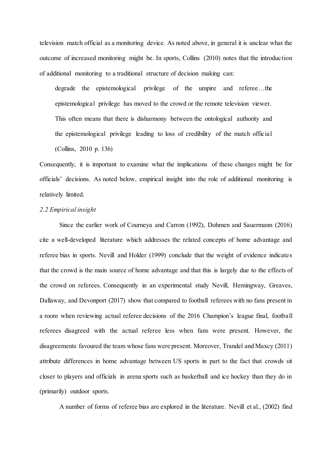television match official as a monitoring device. As noted above, in general it is unclear what the outcome of increased monitoring might be. In sports, Collins (2010) notes that the introduction of additional monitoring to a traditional structure of decision making can:

degrade the epistemological privilege of the umpire and referee…the epistemological privilege has moved to the crowd or the remote television viewer. This often means that there is disharmony between the ontological authority and the epistemological privilege leading to loss of credibility of the match official (Collins, 2010 p. 136)

Consequently, it is important to examine what the implications of these changes might be for officials' decisions. As noted below, empirical insight into the role of additional monitoring is relatively limited.

### *2.2 Empirical insight*

Since the earlier work of Courneya and Carron (1992), Dohmen and Sauermann (2016) cite a well-developed literature which addresses the related concepts of home advantage and referee bias in sports. Nevill and Holder (1999) conclude that the weight of evidence indicates that the crowd is the main source of home advantage and that this is largely due to the effects of the crowd on referees. Consequently in an experimental study Nevill, Hemingway, Greaves, Dallaway, and Devonport (2017) show that compared to football referees with no fans present in a room when reviewing actual referee decisions of the 2016 Champion's league final, football referees disagreed with the actual referee less when fans were present. However, the disagreements favoured the team whose fans were present. Moreover, Trandel and Maxcy (2011) attribute differences in home advantage between US sports in part to the fact that crowds sit closer to players and officials in arena sports such as basketball and ice hockey than they do in (primarily) outdoor sports.

A number of forms of referee bias are explored in the literature. Nevill et al., (2002) find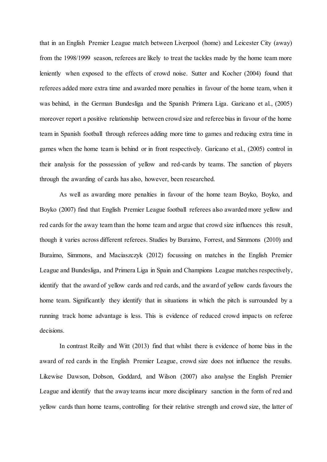that in an English Premier League match between Liverpool (home) and Leicester City (away) from the 1998/1999 season, referees are likely to treat the tackles made by the home team more leniently when exposed to the effects of crowd noise. Sutter and Kocher (2004) found that referees added more extra time and awarded more penalties in favour of the home team, when it was behind, in the German Bundesliga and the Spanish Primera Liga. Garicano et al., (2005) moreover report a positive relationship between crowd size and referee bias in favour of the home team in Spanish football through referees adding more time to games and reducing extra time in games when the home team is behind or in front respectively. Garicano et al., (2005) control in their analysis for the possession of yellow and red-cards by teams. The sanction of players through the awarding of cards has also, however, been researched.

As well as awarding more penalties in favour of the home team Boyko, Boyko, and Boyko (2007) find that English Premier League football referees also awarded more yellow and red cards for the away team than the home team and argue that crowd size influences this result, though it varies across different referees. Studies by Buraimo, Forrest, and Simmons (2010) and Buraimo, Simmons, and Maciaszczyk (2012) focussing on matches in the English Premier League and Bundesliga, and Primera Liga in Spain and Champions League matches respectively, identify that the award of yellow cards and red cards, and the award of yellow cards favours the home team. Significantly they identify that in situations in which the pitch is surrounded by a running track home advantage is less. This is evidence of reduced crowd impacts on referee decisions.

In contrast Reilly and Witt (2013) find that whilst there is evidence of home bias in the award of red cards in the English Premier League, crowd size does not influence the results. Likewise Dawson, Dobson, Goddard, and Wilson (2007) also analyse the English Premier League and identify that the away teams incur more disciplinary sanction in the form of red and yellow cards than home teams, controlling for their relative strength and crowd size, the latter of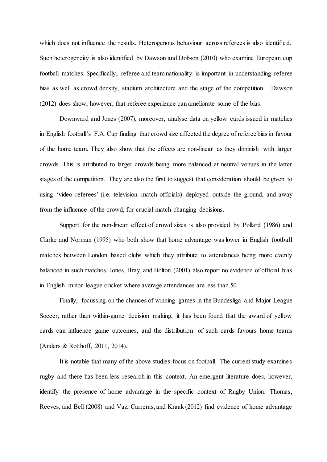which does not influence the results. Heterogenous behaviour across referees is also identified. Such heterogeneity is also identified by Dawson and Dobson (2010) who examine European cup football matches. Specifically, referee and team nationality is important in understanding referee bias as well as crowd density, stadium architecture and the stage of the competition. Dawson (2012) does show, however, that referee experience can ameliorate some of the bias.

Downward and Jones (2007), moreover, analyse data on yellow cards issued in matches in English football's F.A. Cup finding that crowd size affected the degree of referee bias in favour of the home team. They also show that the effects are non-linear as they diminish with larger crowds. This is attributed to larger crowds being more balanced at neutral venues in the latter stages of the competition. They are also the first to suggest that consideration should be given to using 'video referees' (i.e. television match officials) deployed outside the ground, and away from the influence of the crowd, for crucial match-changing decisions.

Support for the non-linear effect of crowd sizes is also provided by Pollard (1986) and Clarke and Norman (1995) who both show that home advantage was lower in English football matches between London based clubs which they attribute to attendances being more evenly balanced in such matches. Jones, Bray, and Bolton (2001) also report no evidence of official bias in English minor league cricket where average attendances are less than 50.

Finally, focussing on the chances of winning games in the Bundesliga and Major League Soccer, rather than within-game decision making, it has been found that the award of yellow cards can influence game outcomes, and the distribution of such cards favours home teams (Anders & Rotthoff, 2011, 2014).

It is notable that many of the above studies focus on football. The current study examines rugby and there has been less research in this context. An emergent literature does, however, identify the presence of home advantage in the specific context of Rugby Union. Thomas, Reeves, and Bell (2008) and Vaz, Carreras, and Kraak (2012) find evidence of home advantage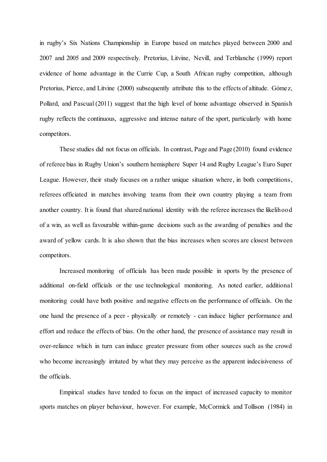in rugby's Six Nations Championship in Europe based on matches played between 2000 and 2007 and 2005 and 2009 respectively. Pretorius, Litvine, Nevill, and Terblanche (1999) report evidence of home advantage in the Currie Cup, a South African rugby competition, although Pretorius, Pierce, and Litvine (2000) subsequently attribute this to the effects of altitude. Gómez, Pollard, and Pascual (2011) suggest that the high level of home advantage observed in Spanish rugby reflects the continuous, aggressive and intense nature of the sport, particularly with home competitors.

These studies did not focus on officials. In contrast, Page and Page (2010) found evidence of referee bias in Rugby Union's southern hemisphere Super 14 and Rugby League's Euro Super League. However, their study focuses on a rather unique situation where, in both competitions, referees officiated in matches involving teams from their own country playing a team from another country. It is found that shared national identity with the referee increases the likelihood of a win, as well as favourable within-game decisions such as the awarding of penalties and the award of yellow cards. It is also shown that the bias increases when scores are closest between competitors.

Increased monitoring of officials has been made possible in sports by the presence of additional on-field officials or the use technological monitoring. As noted earlier, additional monitoring could have both positive and negative effects on the performance of officials. On the one hand the presence of a peer - physically or remotely - can induce higher performance and effort and reduce the effects of bias. On the other hand, the presence of assistance may result in over-reliance which in turn can induce greater pressure from other sources such as the crowd who become increasingly irritated by what they may perceive as the apparent indecisiveness of the officials.

Empirical studies have tended to focus on the impact of increased capacity to monitor sports matches on player behaviour, however. For example, McCormick and Tollison (1984) in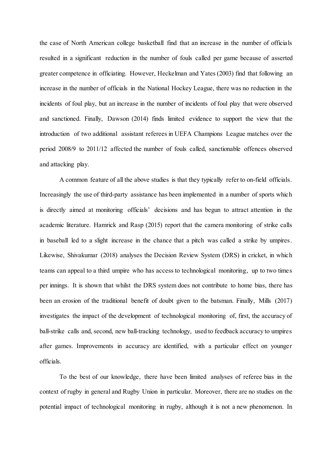the case of North American college basketball find that an increase in the number of officials resulted in a significant reduction in the number of fouls called per game because of asserted greater competence in officiating. However, Heckelman and Yates (2003) find that following an increase in the number of officials in the National Hockey League, there was no reduction in the incidents of foul play, but an increase in the number of incidents of foul play that were observed and sanctioned. Finally, Dawson (2014) finds limited evidence to support the view that the introduction of two additional assistant referees in UEFA Champions League matches over the period 2008/9 to 2011/12 affected the number of fouls called, sanctionable offences observed and attacking play.

A common feature of all the above studies is that they typically refer to on-field officials. Increasingly the use of third-party assistance has been implemented in a number of sports which is directly aimed at monitoring officials' decisions and has begun to attract attention in the academic literature. Hamrick and Rasp (2015) report that the camera monitoring of strike calls in baseball led to a slight increase in the chance that a pitch was called a strike by umpires. Likewise, Shivakumar (2018) analyses the Decision Review System (DRS) in cricket, in which teams can appeal to a third umpire who has access to technological monitoring, up to two times per innings. It is shown that whilst the DRS system does not contribute to home bias, there has been an erosion of the traditional benefit of doubt given to the batsman. Finally, Mills (2017) investigates the impact of the development of technological monitoring of, first, the accuracy of ball-strike calls and, second, new ball-tracking technology, used to feedback accuracy to umpires after games. Improvements in accuracy are identified, with a particular effect on younger officials.

To the best of our knowledge, there have been limited analyses of referee bias in the context of rugby in general and Rugby Union in particular. Moreover, there are no studies on the potential impact of technological monitoring in rugby, although it is not a new phenomenon. In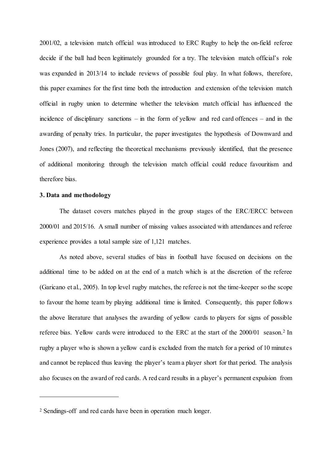2001/02, a television match official was introduced to ERC Rugby to help the on-field referee decide if the ball had been legitimately grounded for a try. The television match official's role was expanded in 2013/14 to include reviews of possible foul play. In what follows, therefore, this paper examines for the first time both the introduction and extension of the television match official in rugby union to determine whether the television match official has influenced the incidence of disciplinary sanctions – in the form of yellow and red card offences – and in the awarding of penalty tries. In particular, the paper investigates the hypothesis of Downward and Jones (2007), and reflecting the theoretical mechanisms previously identified, that the presence of additional monitoring through the television match official could reduce favouritism and therefore bias.

### **3. Data and methodology**

l

The dataset covers matches played in the group stages of the ERC/ERCC between 2000/01 and 2015/16. A small number of missing values associated with attendances and referee experience provides a total sample size of 1,121 matches.

As noted above, several studies of bias in football have focused on decisions on the additional time to be added on at the end of a match which is at the discretion of the referee (Garicano et al., 2005). In top level rugby matches, the referee is not the time-keeper so the scope to favour the home team by playing additional time is limited. Consequently, this paper follows the above literature that analyses the awarding of yellow cards to players for signs of possible referee bias. Yellow cards were introduced to the ERC at the start of the 2000/01 season.<sup>2</sup> In rugby a player who is shown a yellow card is excluded from the match for a period of 10 minutes and cannot be replaced thus leaving the player's team a player short for that period. The analysis also focuses on the award of red cards. A red card results in a player's permanent expulsion from

<sup>2</sup> Sendings-off and red cards have been in operation much longer.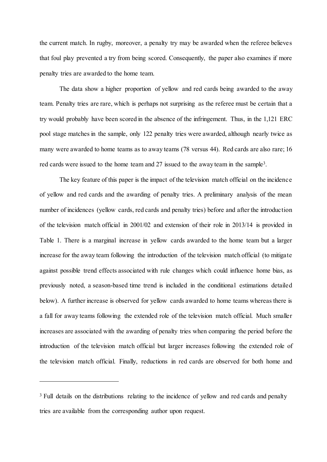the current match. In rugby, moreover, a penalty try may be awarded when the referee believes that foul play prevented a try from being scored. Consequently, the paper also examines if more penalty tries are awarded to the home team.

The data show a higher proportion of yellow and red cards being awarded to the away team. Penalty tries are rare, which is perhaps not surprising as the referee must be certain that a try would probably have been scored in the absence of the infringement. Thus, in the 1,121 ERC pool stage matches in the sample, only 122 penalty tries were awarded, although nearly twice as many were awarded to home teams as to away teams (78 versus 44). Red cards are also rare; 16 red cards were issued to the home team and 27 issued to the away team in the sample<sup>3</sup>.

The key feature of this paper is the impact of the television match official on the incidence of yellow and red cards and the awarding of penalty tries. A preliminary analysis of the mean number of incidences (yellow cards, red cards and penalty tries) before and after the introduction of the television match official in 2001/02 and extension of their role in 2013/14 is provided in Table 1. There is a marginal increase in yellow cards awarded to the home team but a larger increase for the away team following the introduction of the television match official (to mitigate against possible trend effects associated with rule changes which could influence home bias, as previously noted, a season-based time trend is included in the conditional estimations detailed below). A further increase is observed for yellow cards awarded to home teams whereas there is a fall for away teams following the extended role of the television match official. Much smaller increases are associated with the awarding of penalty tries when comparing the period before the introduction of the television match official but larger increases following the extended role of the television match official. Finally, reductions in red cards are observed for both home and

l

<sup>&</sup>lt;sup>3</sup> Full details on the distributions relating to the incidence of yellow and red cards and penalty tries are available from the corresponding author upon request.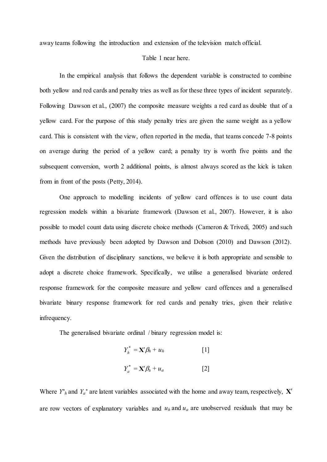away teams following the introduction and extension of the television match official.

#### Table 1 near here.

In the empirical analysis that follows the dependent variable is constructed to combine both yellow and red cards and penalty tries as well as for these three types of incident separately. Following Dawson et al., (2007) the composite measure weights a red card as double that of a yellow card. For the purpose of this study penalty tries are given the same weight as a yellow card. This is consistent with the view, often reported in the media, that teams concede 7-8 points on average during the period of a yellow card; a penalty try is worth five points and the subsequent conversion, worth 2 additional points, is almost always scored as the kick is taken from in front of the posts (Petty, 2014).

One approach to modelling incidents of yellow card offences is to use count data regression models within a bivariate framework (Dawson et al., 2007). However, it is also possible to model count data using discrete choice methods (Cameron & Trivedi, 2005) and such methods have previously been adopted by Dawson and Dobson (2010) and Dawson (2012). Given the distribution of disciplinary sanctions, we believe it is both appropriate and sensible to adopt a discrete choice framework. Specifically, we utilise a generalised bivariate ordered response framework for the composite measure and yellow card offences and a generalised bivariate binary response framework for red cards and penalty tries, given their relative infrequency.

The generalised bivariate ordinal / binary regression model is:

$$
Y_h^* = \mathbf{X}'\beta_h + u_h \qquad [1]
$$

$$
Y_a^* = \mathbf{X}'\beta_a + u_a \tag{2}
$$

Where  $Y^*_{h}$  and  $Y_a^*$  are latent variables associated with the home and away team, respectively,  $X'$ are row vectors of explanatory variables and  $u_h$  and  $u_a$  are unobserved residuals that may be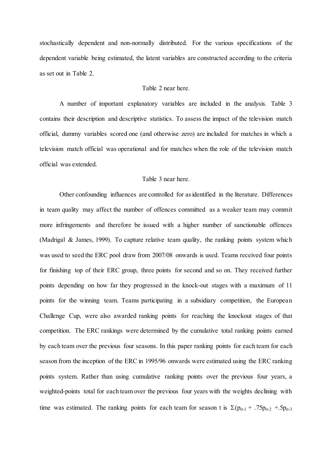stochastically dependent and non-normally distributed. For the various specifications of the dependent variable being estimated, the latent variables are constructed according to the criteria as set out in Table 2.

### Table 2 near here.

A number of important explanatory variables are included in the analysis. Table 3 contains their description and descriptive statistics. To assess the impact of the television match official, dummy variables scored one (and otherwise zero) are included for matches in which a television match official was operational and for matches when the role of the television match official was extended.

### Table 3 near here.

Other confounding influences are controlled for as identified in the literature. Differences in team quality may affect the number of offences committed as a weaker team may commit more infringements and therefore be issued with a higher number of sanctionable offences (Madrigal & James, 1999). To capture relative team quality, the ranking points system which was used to seed the ERC pool draw from 2007/08 onwards is used. Teams received four points for finishing top of their ERC group, three points for second and so on. They received further points depending on how far they progressed in the knock-out stages with a maximum of 11 points for the winning team. Teams participating in a subsidiary competition, the European Challenge Cup, were also awarded ranking points for reaching the knockout stages of that competition. The ERC rankings were determined by the cumulative total ranking points earned by each team over the previous four seasons. In this paper ranking points for each team for each season from the inception of the ERC in 1995/96 onwards were estimated using the ERC ranking points system. Rather than using cumulative ranking points over the previous four years, a weighted-points total for each team over the previous four years with the weights declining with time was estimated. The ranking points for each team for season t is  $\Sigma(p_{it-1} + .75p_{it-2} + .5p_{it-3})$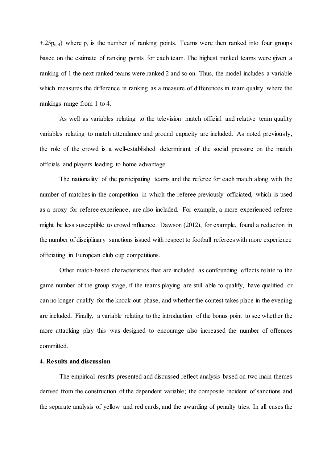$+25p_{it-4}$ ) where  $p_i$  is the number of ranking points. Teams were then ranked into four groups based on the estimate of ranking points for each team. The highest ranked teams were given a ranking of 1 the next ranked teams were ranked 2 and so on. Thus, the model includes a variable which measures the difference in ranking as a measure of differences in team quality where the rankings range from 1 to 4.

As well as variables relating to the television match official and relative team quality variables relating to match attendance and ground capacity are included. As noted previously, the role of the crowd is a well-established determinant of the social pressure on the match officials and players leading to home advantage.

The nationality of the participating teams and the referee for each match along with the number of matches in the competition in which the referee previously officiated, which is used as a proxy for referee experience, are also included. For example, a more experienced referee might be less susceptible to crowd influence. Dawson (2012), for example, found a reduction in the number of disciplinary sanctions issued with respect to football referees with more experience officiating in European club cup competitions.

Other match-based characteristics that are included as confounding effects relate to the game number of the group stage, if the teams playing are still able to qualify, have qualified or can no longer qualify for the knock-out phase, and whether the contest takes place in the evening are included. Finally, a variable relating to the introduction of the bonus point to see whether the more attacking play this was designed to encourage also increased the number of offences committed.

### **4. Results and discussion**

The empirical results presented and discussed reflect analysis based on two main themes derived from the construction of the dependent variable; the composite incident of sanctions and the separate analysis of yellow and red cards, and the awarding of penalty tries. In all cases the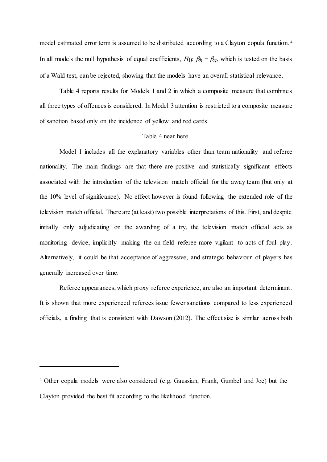model estimated error term is assumed to be distributed according to a Clayton copula function. <sup>4</sup> In all models the null hypothesis of equal coefficients,  $H_0$ :  $\beta_h = \beta_a$ , which is tested on the basis of a Wald test, can be rejected, showing that the models have an overall statistical relevance.

Table 4 reports results for Models 1 and 2 in which a composite measure that combines all three types of offences is considered. In Model 3 attention is restricted to a composite measure of sanction based only on the incidence of yellow and red cards.

#### Table 4 near here.

Model 1 includes all the explanatory variables other than team nationality and referee nationality. The main findings are that there are positive and statistically significant effects associated with the introduction of the television match official for the away team (but only at the 10% level of significance). No effect however is found following the extended role of the television match official. There are (at least) two possible interpretations of this. First, and despite initially only adjudicating on the awarding of a try, the television match official acts as monitoring device, implicitly making the on-field referee more vigilant to acts of foul play. Alternatively, it could be that acceptance of aggressive, and strategic behaviour of players has generally increased over time.

Referee appearances, which proxy referee experience, are also an important determinant. It is shown that more experienced referees issue fewer sanctions compared to less experienced officials, a finding that is consistent with Dawson (2012). The effect size is similar across both

l

<sup>4</sup> Other copula models were also considered (e.g. Gaussian, Frank, Gumbel and Joe) but the Clayton provided the best fit according to the likelihood function.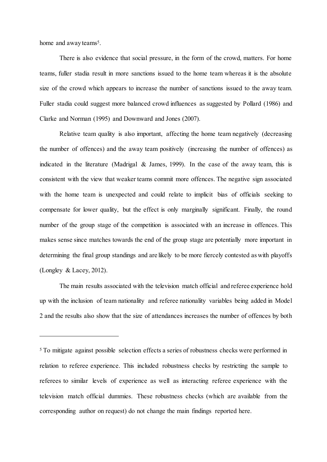home and away teams<sup>5</sup>.

l

There is also evidence that social pressure, in the form of the crowd, matters. For home teams, fuller stadia result in more sanctions issued to the home team whereas it is the absolute size of the crowd which appears to increase the number of sanctions issued to the away team. Fuller stadia could suggest more balanced crowd influences as suggested by Pollard (1986) and Clarke and Norman (1995) and Downward and Jones (2007).

Relative team quality is also important, affecting the home team negatively (decreasing the number of offences) and the away team positively (increasing the number of offences) as indicated in the literature (Madrigal & James, 1999). In the case of the away team, this is consistent with the view that weaker teams commit more offences. The negative sign associated with the home team is unexpected and could relate to implicit bias of officials seeking to compensate for lower quality, but the effect is only marginally significant. Finally, the round number of the group stage of the competition is associated with an increase in offences. This makes sense since matches towards the end of the group stage are potentially more important in determining the final group standings and are likely to be more fiercely contested as with playoffs (Longley & Lacey, 2012).

The main results associated with the television match official and referee experience hold up with the inclusion of team nationality and referee nationality variables being added in Model 2 and the results also show that the size of attendances increases the number of offences by both

<sup>5</sup> To mitigate against possible selection effects a series of robustness checks were performed in relation to referee experience. This included robustness checks by restricting the sample to referees to similar levels of experience as well as interacting referee experience with the television match official dummies. These robustness checks (which are available from the corresponding author on request) do not change the main findings reported here.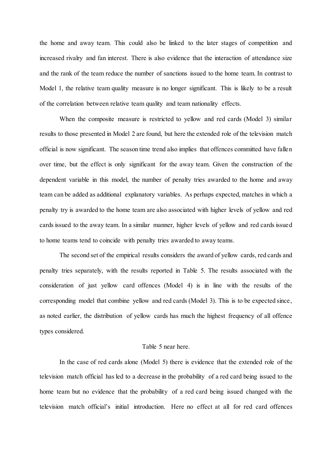the home and away team. This could also be linked to the later stages of competition and increased rivalry and fan interest. There is also evidence that the interaction of attendance size and the rank of the team reduce the number of sanctions issued to the home team. In contrast to Model 1, the relative team quality measure is no longer significant. This is likely to be a result of the correlation between relative team quality and team nationality effects.

When the composite measure is restricted to yellow and red cards (Model 3) similar results to those presented in Model 2 are found, but here the extended role of the television match official is now significant. The season time trend also implies that offences committed have fallen over time, but the effect is only significant for the away team. Given the construction of the dependent variable in this model, the number of penalty tries awarded to the home and away team can be added as additional explanatory variables. As perhaps expected, matches in which a penalty try is awarded to the home team are also associated with higher levels of yellow and red cards issued to the away team. In a similar manner, higher levels of yellow and red cards issued to home teams tend to coincide with penalty tries awarded to away teams.

The second set of the empirical results considers the award of yellow cards, red cards and penalty tries separately, with the results reported in Table 5. The results associated with the consideration of just yellow card offences (Model 4) is in line with the results of the corresponding model that combine yellow and red cards (Model 3). This is to be expected since, as noted earlier, the distribution of yellow cards has much the highest frequency of all offence types considered.

#### Table 5 near here.

In the case of red cards alone (Model 5) there is evidence that the extended role of the television match official has led to a decrease in the probability of a red card being issued to the home team but no evidence that the probability of a red card being issued changed with the television match official's initial introduction. Here no effect at all for red card offences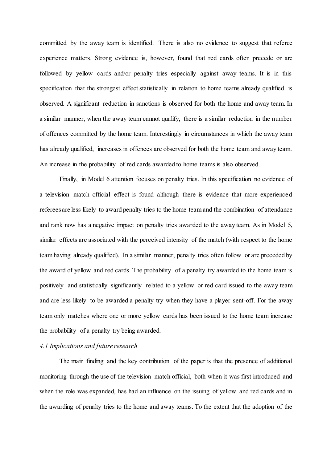committed by the away team is identified. There is also no evidence to suggest that referee experience matters. Strong evidence is, however, found that red cards often precede or are followed by yellow cards and/or penalty tries especially against away teams. It is in this specification that the strongest effect statistically in relation to home teams already qualified is observed. A significant reduction in sanctions is observed for both the home and away team. In a similar manner, when the away team cannot qualify, there is a similar reduction in the number of offences committed by the home team. Interestingly in circumstances in which the away team has already qualified, increases in offences are observed for both the home team and away team. An increase in the probability of red cards awarded to home teams is also observed.

Finally, in Model 6 attention focuses on penalty tries. In this specification no evidence of a television match official effect is found although there is evidence that more experienced referees are less likely to award penalty tries to the home team and the combination of attendance and rank now has a negative impact on penalty tries awarded to the away team. As in Model 5, similar effects are associated with the perceived intensity of the match (with respect to the home team having already qualified). In a similar manner, penalty tries often follow or are preceded by the award of yellow and red cards. The probability of a penalty try awarded to the home team is positively and statistically significantly related to a yellow or red card issued to the away team and are less likely to be awarded a penalty try when they have a player sent-off. For the away team only matches where one or more yellow cards has been issued to the home team increase the probability of a penalty try being awarded.

### *4.1 Implications and future research*

The main finding and the key contribution of the paper is that the presence of additional monitoring through the use of the television match official, both when it was first introduced and when the role was expanded, has had an influence on the issuing of yellow and red cards and in the awarding of penalty tries to the home and away teams. To the extent that the adoption of the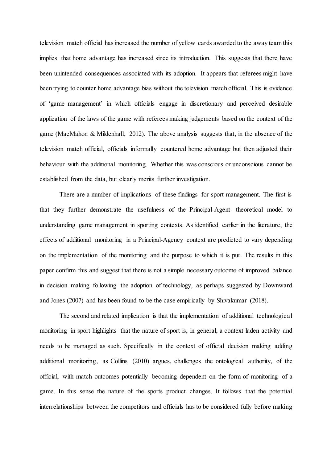television match official has increased the number of yellow cards awarded to the away team this implies that home advantage has increased since its introduction. This suggests that there have been unintended consequences associated with its adoption. It appears that referees might have been trying to counter home advantage bias without the television match official. This is evidence of 'game management' in which officials engage in discretionary and perceived desirable application of the laws of the game with referees making judgements based on the context of the game (MacMahon & Mildenhall, 2012). The above analysis suggests that, in the absence of the television match official, officials informally countered home advantage but then adjusted their behaviour with the additional monitoring. Whether this was conscious or unconscious cannot be established from the data, but clearly merits further investigation.

There are a number of implications of these findings for sport management. The first is that they further demonstrate the usefulness of the Principal-Agent theoretical model to understanding game management in sporting contexts. As identified earlier in the literature, the effects of additional monitoring in a Principal-Agency context are predicted to vary depending on the implementation of the monitoring and the purpose to which it is put. The results in this paper confirm this and suggest that there is not a simple necessary outcome of improved balance in decision making following the adoption of technology, as perhaps suggested by Downward and Jones (2007) and has been found to be the case empirically by Shivakumar (2018).

The second and related implication is that the implementation of additional technological monitoring in sport highlights that the nature of sport is, in general, a context laden activity and needs to be managed as such. Specifically in the context of official decision making adding additional monitoring, as Collins (2010) argues, challenges the ontological authority, of the official, with match outcomes potentially becoming dependent on the form of monitoring of a game. In this sense the nature of the sports product changes. It follows that the potential interrelationships between the competitors and officials has to be considered fully before making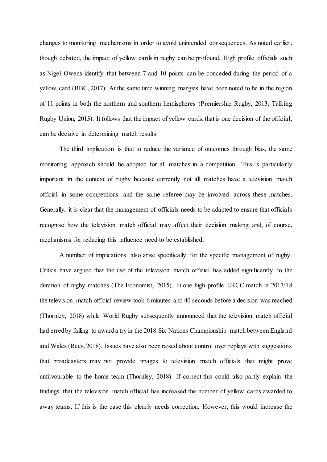changes to monitoring mechanisms in order to avoid unintended consequences. As noted earlier, though debated, the impact of yellow cards in rugby can be profound. High profile officials such as Nigel Owens identify that between 7 and 10 points can be conceded during the period of a yellow card (BBC, 2017). At the same time winning margins have been noted to be in the region of 11 points in both the northern and southern hemispheres (Premiership Rugby, 2013; Talking Rugby Union, 2013). It follows that the impact of yellow cards, that is one decision of the official, can be decisive in determining match results.

The third implication is that to reduce the variance of outcomes through bias, the same monitoring approach should be adopted for all matches in a competition. This is particularly important in the context of rugby because currently not all matches have a television match official in some competitions and the same referee may be involved across these matches. Generally, it is clear that the management of officials needs to be adapted to ensure that officials recognise how the television match official may affect their decision making and, of course, mechanisms for reducing this influence need to be established.

A number of implications also arise specifically for the specific management of rugby. Critics have argued that the use of the television match official has added significantly to the duration of rugby matches (The Economist, 2015). In one high profile ERCC match in 2017/18 the television match official review took 6 minutes and 40 seconds before a decision was reached (Thornley, 2018) while World Rugby subsequently announced that the television match official had erred by failing to award a try in the 2018 Six Nations Championship match between England and Wales (Rees, 2018). Issues have also been raised about control over replays with suggestions that broadcasters may not provide images to television match officials that might prove unfavourable to the home team (Thornley, 2018). If correct this could also partly explain the findings that the television match official has increased the number of yellow cards awarded to away teams. If this is the case this clearly needs correction. However, this would increase the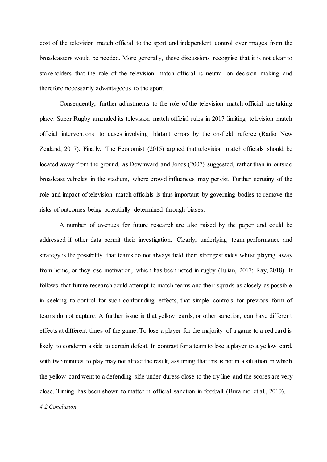cost of the television match official to the sport and independent control over images from the broadcasters would be needed. More generally, these discussions recognise that it is not clear to stakeholders that the role of the television match official is neutral on decision making and therefore necessarily advantageous to the sport.

Consequently, further adjustments to the role of the television match official are taking place. Super Rugby amended its television match official rules in 2017 limiting television match official interventions to cases involving blatant errors by the on-field referee (Radio New Zealand, 2017). Finally, The Economist (2015) argued that television match officials should be located away from the ground, as Downward and Jones (2007) suggested, rather than in outside broadcast vehicles in the stadium, where crowd influences may persist. Further scrutiny of the role and impact of television match officials is thus important by governing bodies to remove the risks of outcomes being potentially determined through biases.

A number of avenues for future research are also raised by the paper and could be addressed if other data permit their investigation. Clearly, underlying team performance and strategy is the possibility that teams do not always field their strongest sides whilst playing away from home, or they lose motivation, which has been noted in rugby (Julian, 2017; Ray, 2018). It follows that future research could attempt to match teams and their squads as closely as possible in seeking to control for such confounding effects, that simple controls for previous form of teams do not capture. A further issue is that yellow cards, or other sanction, can have different effects at different times of the game. To lose a player for the majority of a game to a red card is likely to condemn a side to certain defeat. In contrast for a team to lose a player to a yellow card, with two minutes to play may not affect the result, assuming that this is not in a situation in which the yellow card went to a defending side under duress close to the try line and the scores are very close. Timing has been shown to matter in official sanction in football (Buraimo et al., 2010).

*4.2 Conclusion*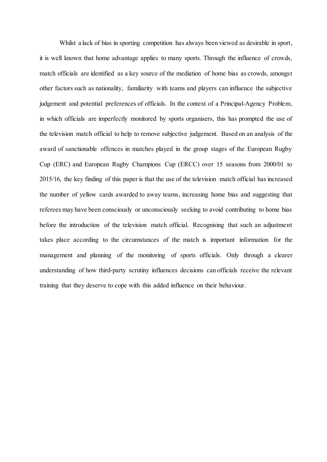Whilst a lack of bias in sporting competition has always been viewed as desirable in sport, it is well known that home advantage applies to many sports. Through the influence of crowds, match officials are identified as a key source of the mediation of home bias as crowds, amongst other factors such as nationality, familiarity with teams and players can influence the subjective judgement and potential preferences of officials. In the context of a Principal-Agency Problem, in which officials are imperfectly monitored by sports organisers, this has prompted the use of the television match official to help to remove subjective judgement. Based on an analysis of the award of sanctionable offences in matches played in the group stages of the European Rugby Cup (ERC) and European Rugby Champions Cup (ERCC) over 15 seasons from 2000/01 to 2015/16, the key finding of this paper is that the use of the television match official has increased the number of yellow cards awarded to away teams, increasing home bias and suggesting that referees may have been consciously or unconsciously seeking to avoid contributing to home bias before the introduction of the television match official. Recognising that such an adjustment takes place according to the circumstances of the match is important information for the management and planning of the monitoring of sports officials. Only through a clearer understanding of how third-party scrutiny influences decisions can officials receive the relevant training that they deserve to cope with this added influence on their behaviour.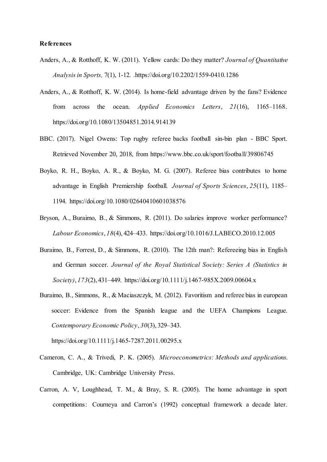### **References**

- Anders, A., & Rotthoff, K. W. (2011). Yellow cards: Do they matter? *Journal of Quantitative Analysis in Sports,* 7(1), 1-12. .https://doi.org/10.2202/1559-0410.1286
- Anders, A., & Rotthoff, K. W. (2014). Is home-field advantage driven by the fans? Evidence from across the ocean. *Applied Economics Letters*, *21*(16), 1165–1168. https://doi.org/10.1080/13504851.2014.914139
- BBC. (2017). Nigel Owens: Top rugby referee backs football sin-bin plan BBC Sport. Retrieved November 20, 2018, from https://www.bbc.co.uk/sport/football/39806745
- Boyko, R. H., Boyko, A. R., & Boyko, M. G. (2007). Referee bias contributes to home advantage in English Premiership football. *Journal of Sports Sciences*, *25*(11), 1185– 1194. https://doi.org/10.1080/02640410601038576
- Bryson, A., Buraimo, B., & Simmons, R. (2011). Do salaries improve worker performance? *Labour Economics*, *18*(4), 424–433. https://doi.org/10.1016/J.LABECO.2010.12.005
- Buraimo, B., Forrest, D., & Simmons, R. (2010). The 12th man?: Refereeing bias in English and German soccer. *Journal of the Royal Statistical Society: Series A (Statistics in Society)*, *173*(2), 431–449. <https://doi.org/10.1111/j.1467-985X.2009.00604.x>
- Buraimo, B., Simmons, R., & Maciaszczyk, M. (2012). Favoritism and referee bias in european soccer: Evidence from the Spanish league and the UEFA Champions League. *Contemporary Economic Policy*, *30*(3), 329–343.

https://doi.org/10.1111/j.1465-7287.2011.00295.x

- Cameron, C. A., & Trivedi, P. K. (2005). *Microeconometrics: Methods and applications*. Cambridge, UK: Cambridge University Press.
- Carron, A. V, Loughhead, T. M., & Bray, S. R. (2005). The home advantage in sport competitions: Courneya and Carron's (1992) conceptual framework a decade later.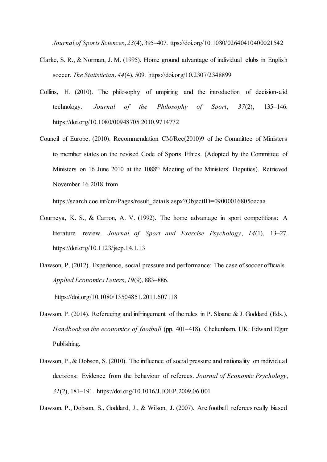*Journal of Sports Sciences*, *23*(4), 395–407. ttps://doi.org/10.1080/02640410400021542

- Clarke, S. R., & Norman, J. M. (1995). Home ground advantage of individual clubs in English soccer. *The Statistician*, *44*(4), 509. https://doi.org/10.2307/2348899
- Collins, H. (2010). The philosophy of umpiring and the introduction of decision-aid technology. *Journal of the Philosophy of Sport*, *37*(2), 135–146. https://doi.org/10.1080/00948705.2010.9714772
- Council of Europe. (2010). Recommendation CM/Rec(2010)9 of the Committee of Ministers to member states on the revised Code of Sports Ethics. (Adopted by the Committee of Ministers on 16 June 2010 at the 1088th Meeting of the Ministers' Deputies). Retrieved November 16 2018 from

https://search.coe.int/cm/Pages/result\_details.aspx?ObjectID=09000016805cecaa

- Courneya, K. S., & Carron, A. V. (1992). The home advantage in sport competitions: A literature review. *Journal of Sport and Exercise Psychology*, *14*(1), 13–27. https://doi.org/10.1123/jsep.14.1.13
- Dawson, P. (2012). Experience, social pressure and performance: The case of soccer officials. *Applied Economics Letters*, *19*(9), 883–886.

https://doi.org/10.1080/13504851.2011.607118

- Dawson, P. (2014). Refereeing and infringement of the rules in P. Sloane & J. Goddard (Eds.), *Handbook on the economics of football* (pp. 401–418). Cheltenham, UK: Edward Elgar Publishing.
- Dawson, P., & Dobson, S. (2010). The influence of social pressure and nationality on individual decisions: Evidence from the behaviour of referees. *Journal of Economic Psychology*, *31*(2), 181–191. https://doi.org/10.1016/J.JOEP.2009.06.001

Dawson, P., Dobson, S., Goddard, J., & Wilson, J. (2007). Are football referees really biased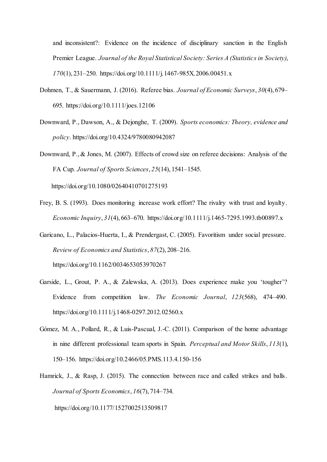and inconsistent?: Evidence on the incidence of disciplinary sanction in the English Premier League. *Journal of the Royal Statistical Society: Series A (Statistics in Society)*, *170*(1), 231–250. <https://doi.org/10.1111/j.1467-985X.2006.00451.x>

- Dohmen, T., & Sauermann, J. (2016). Referee bias. *Journal of Economic Surveys*, *30*(4), 679– 695. https://doi.org/10.1111/joes.12106
- Downward, P., Dawson, A., & Dejonghe, T. (2009). *Sports economics: Theory, evidence and policy*. https://doi.org/10.4324/9780080942087

Downward, P., & Jones, M. (2007). Effects of crowd size on referee decisions: Analysis of the FA Cup. *Journal of Sports Sciences*, *25*(14), 1541–1545. <https://doi.org/10.1080/02640410701275193>

Frey, B. S. (1993). Does monitoring increase work effort? The rivalry with trust and loyalty.

*Economic Inquiry*, *31*(4), 663–670. https://doi.org/10.1111/j.1465-7295.1993.tb00897.x

Garicano, L., Palacios-Huerta, I., & Prendergast, C. (2005). Favoritism under social pressure. *Review of Economics and Statistics*, *87*(2), 208–216. <https://doi.org/10.1162/0034653053970267>

- Garside, L., Grout, P. A., & Zalewska, A. (2013). Does experience make you 'tougher'? Evidence from competition law. *The Economic Journal*, *123*(568), 474–490. https://doi.org/10.1111/j.1468-0297.2012.02560.x
- Gómez, M. A., Pollard, R., & Luis-Pascual, J.-C. (2011). Comparison of the home advantage in nine different professional team sports in Spain. *Perceptual and Motor Skills*, *113*(1), 150–156. https://doi.org/10.2466/05.PMS.113.4.150-156
- Hamrick, J., & Rasp, J. (2015). The connection between race and called strikes and balls. *Journal of Sports Economics*, *16*(7), 714–734.

https://doi.org/10.1177/1527002513509817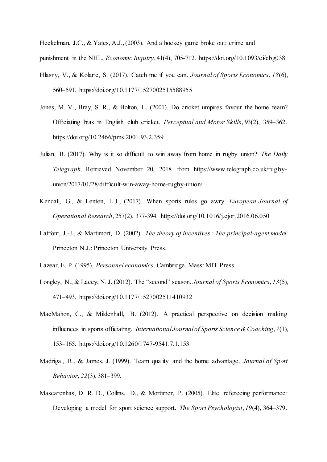Heckelman, J.C., & Yates, A.J., (2003). And a hockey game broke out: crime and punishment in the NHL. *Economic Inquiry*, 41(4), 705-712. <https://doi.org/10.1093/ei/cbg038>

- Hlasny, V., & Kolaric, S. (2017). Catch me if you can. *Journal of Sports Economics*, *18*(6), 560–591. https://doi.org/10.1177/1527002515588955
- Jones, M. V., Bray, S. R., & Bolton, L. (2001). Do cricket umpires favour the home team? Officiating bias in English club cricket. *Perceptual and Motor Skills*, 93(2), 359–362. [https://doi.org/10.2466/pms.2001.93.2.359](https://doi.org/10.2466%2Fpms.2001.93.2.359)
- Julian, B. (2017). Why is it so difficult to win away from home in rugby union? *The Daily Telegraph*. Retrieved November 20, 2018 from https://www.telegraph.co.uk/rugbyunion/2017/01/28/difficult-win-away-home-rugby-union/
- Kendall, G., & Lenten, L.J., (2017). When sports rules go awry. *European Journal of Operational Research*, 257(2), 377-394. <https://doi.org/10.1016/j.ejor.2016.06.050>
- Laffont, J.-J., & Martimort, D. (2002). *The theory of incentives : The principal-agent model*. Princeton N.J.: Princeton University Press.
- Lazear, E. P. (1995). *Personnel economics*. Cambridge, Mass: MIT Press.
- Longley, N., & Lacey, N. J. (2012). The "second" season. *Journal of Sports Economics*, *13*(5), 471–493. https://doi.org/10.1177/1527002511410932
- MacMahon, C., & Mildenhall, B. (2012). A practical perspective on decision making influences in sports officiating. *International Journal of Sports Science & Coaching*, *7*(1), 153–165. https://doi.org/10.1260/1747-9541.7.1.153
- Madrigal, R., & James, J. (1999). Team quality and the home advantage. *Journal of Sport Behavior*, *22*(3), 381–399.
- Mascarenhas, D. R. D., Collins, D., & Mortimer, P. (2005). Elite refereeing performance: Developing a model for sport science support. *The Sport Psychologist*, *19*(4), 364–379.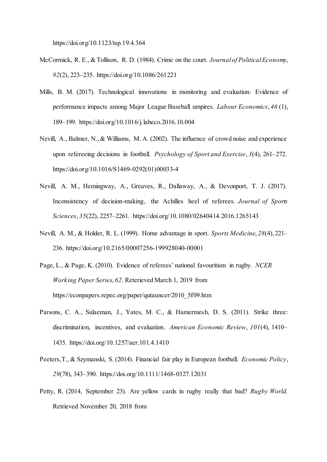https://doi.org/10.1123/tsp.19.4.364

- McCormick, R. E., & Tollison, R. D. (1984). Crime on the court. *Journal of Political Economy*, *92*(2), 223–235. https://doi.org/10.1086/261221
- Mills, B. M. (2017). Technological innovations in monitoring and evaluation: Evidence of performance impacts among Major League Baseball umpires. *Labour Economics*, *46* (1), 189–199. https://doi.org/10.1016/j.labeco.2016.10.004
- Nevill, A., Balmer, N., & Williams, M. A. (2002). The influence of crowd noise and experience upon refereeing decisions in football. *Psychology of Sport and Exercise*, *3*(4), 261–272. https://doi.org/10.1016/S1469-0292(01)00033-4
- Nevill, A. M., Hemingway, A., Greaves, R., Dallaway, A., & Devonport, T. J. (2017). Inconsistency of decision-making, the Achilles heel of referees. *Journal of Sports Sciences*, *35*(22), 2257–2261. https://doi.org/10.1080/02640414.2016.1265143
- Nevill, A. M., & Holder, R. L. (1999). Home advantage in sport. *Sports Medicine*, *28*(4), 221– 236. https://doi.org/10.2165/00007256-199928040-00001
- Page, L., & Page, K. (2010). Evidence of referees' national favouritism in rugby. *NCER Working Paper Series*, *62*. Reterieved March 1, 2019 from https://econpapers.repec.org/paper/qutauncer/2010\_5f09.htm
- Parsons, C. A., Sulaeman, J., Yates, M. C., & Hamermesh, D. S. (2011). Strike three: discrimination, incentives, and evaluation. *American Economic Review*, *101*(4), 1410– 1435. https://doi.org/10.1257/aer.101.4.1410
- Peeters, T., & Szymanski, S. (2014). Financial fair play in European football. *Economic Policy*, *29*(78), 343–390. https://doi.org/10.1111/1468-0327.12031
- Petty, R. (2014, September 23). Are yellow cards in rugby really that bad? *Rugby World*. Retrieved November 20, 2018 from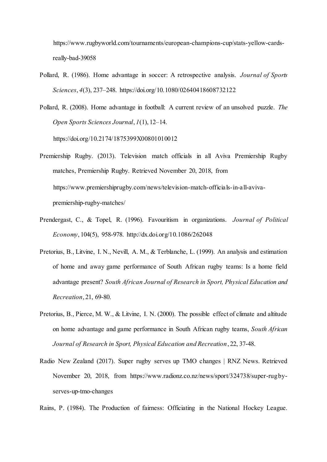https://www.rugbyworld.com/tournaments/european-champions-cup/stats-yellow-cardsreally-bad-39058

- Pollard, R. (1986). Home advantage in soccer: A retrospective analysis. *Journal of Sports Sciences*, *4*(3), 237–248. https://doi.org/10.1080/02640418608732122
- Pollard, R. (2008). Home advantage in football: A current review of an unsolved puzzle. *The Open Sports Sciences Journal*, *1*(1), 12–14.

https://doi.org/10.2174/1875399X00801010012

- Premiership Rugby. (2013). Television match officials in all Aviva Premiership Rugby matches, Premiership Rugby. Retrieved November 20, 2018, from https://www.premiershiprugby.com/news/television-match-officials-in-all-avivapremiership-rugby-matches/
- Prendergast, C., & Topel, R. (1996). Favouritism in organizations. *Journal of Political Economy*, 104(5), 958-978. [http://dx.doi.org/10.1086/262048](https://econpapers.repec.org/scripts/redir.pf?u=http%3A%2F%2Fdx.doi.org%2F10.1086%2F262048;h=repec:ucp:jpolec:v:104:y:1996:i:5:p:958-78)
- Pretorius, B., Litvine, I. N., Nevill, A. M., & Terblanche, L. (1999). An analysis and estimation of home and away game performance of South African rugby teams: Is a home field advantage present? *South African Journal of Research in Sport, Physical Education and Recreation*, 21, 69-80.
- Pretorius, B., Pierce, M. W., & Litvine, I. N. (2000). The possible effect of climate and altitude on home advantage and game performance in South African rugby teams, *South African Journal of Research in Sport, Physical Education and Recreation*, 22, 37-48.
- Radio New Zealand (2017). Super rugby serves up TMO changes | RNZ News. Retrieved November 20, 2018, from https://www.radionz.co.nz/news/sport/324738/super-rugbyserves-up-tmo-changes

Rains, P. (1984). The Production of fairness: Officiating in the National Hockey League.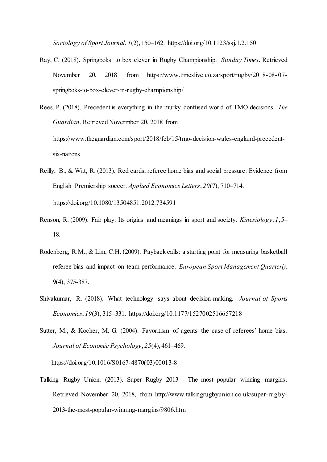*Sociology of Sport Journal*, *1*(2), 150–162. https://doi.org/10.1123/ssj.1.2.150

- Ray, C. (2018). Springboks to box clever in Rugby Championship. *Sunday Times*. Retrieved November 20, 2018 from https://www.timeslive.co.za/sport/rugby/2018-08-07springboks-to-box-clever-in-rugby-championship/
- Rees, P. (2018). Precedent is everything in the murky confused world of TMO decisions. *The Guardian*. Retrieved Novermber 20, 2018 from https://www.theguardian.com/sport/2018/feb/15/tmo-decision-wales-england-precedentsix-nations
- Reilly, B., & Witt, R. (2013). Red cards, referee home bias and social pressure: Evidence from English Premiership soccer. *Applied Economics Letters*, *20*(7), 710–714. https://doi.org/10.1080/13504851.2012.734591
- Renson, R. (2009). Fair play: Its origins and meanings in sport and society. *Kinesiology*, *1*, 5– 18.
- Rodenberg, R.M., & Lim, C.H. (2009). Payback calls: a starting point for measuring basketball referee bias and impact on team performance. *European Sport Management Quarterly,*  9(4), 375-387.
- Shivakumar, R. (2018). What technology says about decision-making. *Journal of Sports Economics*, *19*(3), 315–331. https://doi.org/10.1177/1527002516657218
- Sutter, M., & Kocher, M. G. (2004). Favoritism of agents–the case of referees' home bias. *Journal of Economic Psychology*, *25*(4), 461–469.

[https://doi.org/10.1016/S0167-4870\(03\)00013-8](https://doi.org/10.1016/S0167-4870%2803%2900013-8)

Talking Rugby Union. (2013). Super Rugby 2013 - The most popular winning margins. Retrieved November 20, 2018, from http://www.talkingrugbyunion.co.uk/super-rugby-2013-the-most-popular-winning-margins/9806.htm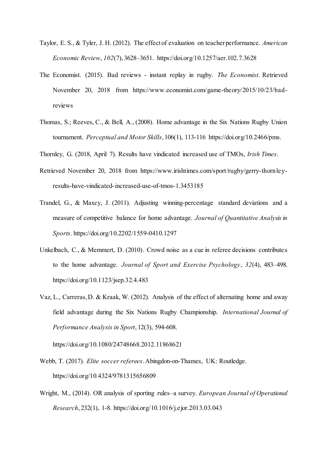- Taylor, E. S., & Tyler, J. H. (2012). The effect of evaluation on teacher performance. *American Economic Review*, *102*(7), 3628–3651. https://doi.org/10.1257/aer.102.7.3628
- The Economist. (2015). Bad reviews instant replay in rugby. *The Economist*. Retrieved November 20, 2018 from https://www.economist.com/game-theory/2015/10/23/badreviews
- Thomas, S.; Reeves, C., & Bell, A., (2008). Home advantage in the Six Nations Rugby Union tournament. *Perceptual and Motor Skills*, 106(1), 113-116 [https://doi.org/10.2466/pms.](https://doi.org/10.2466%2Fpms.106.1.113-116)

Thornley, G. (2018, April 7). Results have vindicated increased use of TMOs, *Irish Times*.

- Retrieved November 20, 2018 from https://www.irishtimes.com/sport/rugby/gerry-thornleyresults-have-vindicated-increased-use-of-tmos-1.3453185
- Trandel, G., & Maxcy, J. (2011). Adjusting winning-percentage standard deviations and a measure of competitive balance for home advantage. *Journal of Quantitative Analysis in Sports*. https://doi.org/10.2202/1559-0410.1297
- Unkelbach, C., & Memmert, D. (2010). Crowd noise as a cue in referee decisions contributes to the home advantage. *Journal of Sport and Exercise Psychology*, *32*(4), 483–498. https://doi.org/10.1123/jsep.32.4.483
- Vaz, L., Carreras, D. & Kraak, W. (2012). Analysis of the effect of alternating home and away field advantage during the Six Nations Rugby Championship. *International Journal of Performance Analysis in Sport*, 12(3), 594-608.

<https://doi.org/10.1080/24748668.2012.11868621>

- Webb, T. (2017). *Elite soccer referees*. Abingdon-on-Thames, UK: Routledge. https://doi.org/10.4324/9781315656809
- Wright, M., (2014). OR analysis of sporting rules–a survey. *European Journal of Operational Research*, 232(1), 1-8. <https://doi.org/10.1016/j.ejor.2013.03.043>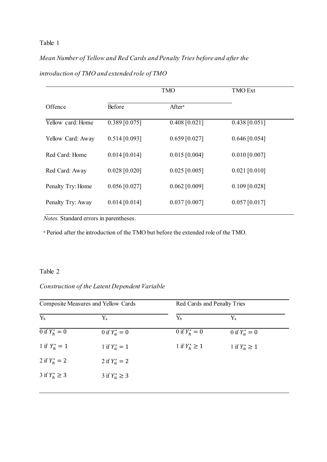*Mean Number of Yellow and Red Cards and Penalty Tries before and after the* 

| introduction of TMO and extended role of TMO |  |  |  |  |  |  |  |
|----------------------------------------------|--|--|--|--|--|--|--|
|----------------------------------------------|--|--|--|--|--|--|--|

|                   |                 | <b>TMO Ext</b>     |                 |
|-------------------|-----------------|--------------------|-----------------|
| Offence           | Before          | After <sup>a</sup> |                 |
| Yellow card: Home | $0.389$ [0.075] | $0.408$ [0.021]    | $0.438$ [0.051] |
| Yellow Card: Away | $0.514$ [0.093] | $0.659$ [0.027]    | $0.646$ [0.054] |
| Red Card: Home    | $0.014$ [0.014] | $0.015$ [0.004]    | $0.010$ [0.007] |
| Red Card: Away    | $0.028$ [0.020] | $0.025$ [0.005]    | $0.021$ [0.010] |
| Penalty Try: Home | $0.056$ [0.027] | $0.062$ [0.009]    | $0.109$ [0.028] |
| Penalty Try: Away | $0.014$ [0.014] | $0.037$ [0.007]    | $0.057$ [0.017] |

*Notes.* Standard errors in parentheses.

<sup>a</sup> Period after the introduction of the TMO but before the extended role of the TMO.

## Table 2

## *Construction of the Latent Dependent Variable*

| Composite Measures and Yellow Cards |                     | Red Cards and Penalty Tries |                    |  |
|-------------------------------------|---------------------|-----------------------------|--------------------|--|
| Y <sub>h</sub>                      | $\rm Y_a$           | $Y_h$                       | $Y_a$              |  |
| 0 if $Y_h^* = 0$                    | 0 if $Y_a^* = 0$    | 0 if $Y_h^* = 0$            | 0 if $Y_a^* = 0$   |  |
| 1 if $Y_h^* = 1$                    | 1 if $Y_a^* = 1$    | 1 if $Y_h^* \ge 1$          | 1 if $Y_a^* \ge 1$ |  |
| 2 if $Y_h^* = 2$                    | 2 if $Y_a^* = 2$    |                             |                    |  |
| 3 if $Y_h^* \ge 3$                  | 3 if $Y_a^* \geq 3$ |                             |                    |  |
|                                     |                     |                             |                    |  |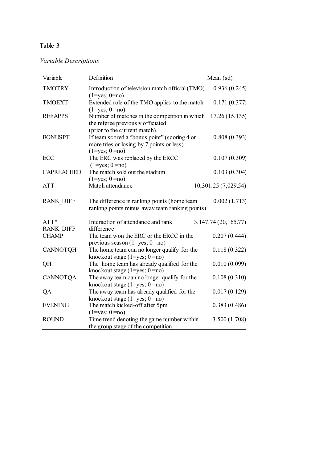| Variable Descriptions |  |
|-----------------------|--|
|-----------------------|--|

| Variable                 | Definition                                                                                                                                        | Mean (sd)                    |
|--------------------------|---------------------------------------------------------------------------------------------------------------------------------------------------|------------------------------|
| <b>TMOTRY</b>            | Introduction of television match official (TMO)<br>$(1 = yes; 0 = no)$                                                                            | $\overline{0.936}$ $(0.245)$ |
| <b>TMOEXT</b>            | Extended role of the TMO applies to the match<br>$(1 = yes; 0 = no)$                                                                              | 0.171(0.377)                 |
| <b>REFAPPS</b>           | Number of matches in the competition in which<br>the referee previously officiated                                                                | 17.26(15.135)                |
| <b>BONUSPT</b>           | (prior to the current match).<br>If team scored a "bonus point" (scoring 4 or<br>more tries or losing by 7 points or less)<br>$(1 = yes; 0 = no)$ | 0.808(0.393)                 |
| ECC                      | The ERC was replaced by the ERCC<br>$(1 = yes; 0 = no)$                                                                                           | 0.107(0.309)                 |
| <b>CAPREACHED</b>        | The match sold out the stadium<br>$(1 = yes; 0 = no)$                                                                                             | 0.103(0.304)                 |
| <b>ATT</b>               | Match attendance                                                                                                                                  | 10,301.25 (7,029.54)         |
| <b>RANK DIFF</b>         | The difference in ranking points (home team<br>ranking points minus away team ranking points)                                                     | 0.002(1.713)                 |
| ATT*<br><b>RANK DIFF</b> | Interaction of attendance and rank<br>difference                                                                                                  | 3, 147.74 (20, 165.77)       |
| <b>CHAMP</b>             | The team won the ERC or the ERCC in the<br>previous season $(1 = yes; 0 = no)$                                                                    | 0.207(0.444)                 |
| <b>CANNOTQH</b>          | The home team can no longer qualify for the<br>knockout stage $(1 = yes; 0 = no)$                                                                 | 0.118(0.322)                 |
| QH                       | The home team has already qualified for the<br>knockout stage $(1 = yes; 0 = no)$                                                                 | 0.010(0.099)                 |
| <b>CANNOTQA</b>          | The away team can no longer qualify for the<br>knockout stage $(1 = yes; 0 = no)$                                                                 | 0.108(0.310)                 |
| QA                       | The away team has already qualified for the<br>knockout stage $(1 = yes; 0 = no)$                                                                 | 0.017(0.129)                 |
| <b>EVENING</b>           | The match kicked-off after 5pm<br>$(1 = yes; 0 = no)$                                                                                             | 0.383(0.486)                 |
| <b>ROUND</b>             | Time trend denoting the game number within<br>the group stage of the competition.                                                                 | 3.500(1.708)                 |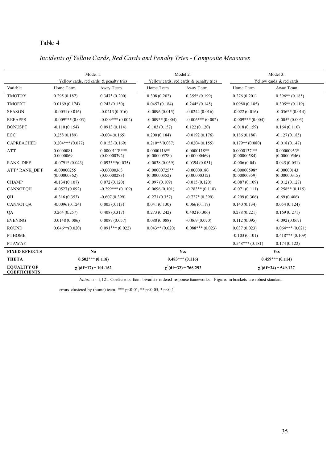*Incidents of Yellow Cards, Red Cards and Penalty Tries - Composite Measures*

|                                           | Model 1:                      |                                                              | Model 2:                        |                                         | Model 3:                       |                               |  |
|-------------------------------------------|-------------------------------|--------------------------------------------------------------|---------------------------------|-----------------------------------------|--------------------------------|-------------------------------|--|
|                                           |                               | Yellow cards, red cards & penalty tries                      |                                 | Yellow cards, red cards & penalty tries |                                | Yellow cards & red cards      |  |
| Variable                                  | Home Team                     | Away Team                                                    | Home Team                       | Away Team                               | Home Team                      | Away Team                     |  |
| <b>TMOTRY</b>                             | 0.295(0.187)                  | $0.347*(0.200)$                                              | 0.308(0.202)                    | $0.355*(0.199)$                         | 0.276(0.201)                   | $0.396**$ (0.185)             |  |
| <b>TMOEXT</b>                             | 0.0169(0.174)                 | 0.243(0.150)                                                 | 0.0457(0.184)                   | $0.244*(0.145)$                         | 0.0980(0.185)                  | $0.305**$ (0.119)             |  |
| <b>SEASON</b>                             | $-0.0051(0.016)$              | $-0.0213(0.016)$                                             | $-0.0096(0.015)$                | $-0.0244(0.016)$                        | $-0.022(0.016)$                | $-0.036**$ (0.014)            |  |
| <b>REFAPPS</b>                            | $-0.009***(0.003)$            | $-0.009***(0.002)$                                           | $-0.009**$ (0.004)              | $-0.006***(0.002)$                      | $-0.009***(0.004)$             | $-0.005*(0.003)$              |  |
| <b>BONUSPT</b>                            | $-0.110(0.154)$               | 0.0913(0.114)                                                | $-0.103(0.157)$                 | 0.122(0.120)                            | $-0.018(0.159)$                | 0.164(0.110)                  |  |
| ECC                                       | 0.258(0.189)                  | $-0.004(0.165)$                                              | 0.200(0.184)                    | $-0.0192(0.176)$                        | 0.186(0.186)                   | $-0.127(0.185)$               |  |
| <b>CAPREACHED</b>                         | $0.204***(0.077)$             | 0.0153(0.169)                                                | $0.210**$ (0.087)               | $-0.0204(0.155)$                        | $0.179**$ (0.080)              | $-0.018(0.147)$               |  |
| <b>ATT</b>                                | 0.0000081<br>0.0000069        | $0.0000113^{5***}$<br>(0.00000392)                           | $0.0000116**$<br>(0.00000578)   | $0.0000118**$<br>(0.00000469)           | $0.0000137**$<br>(0.00000584)  | $0.00000953*$<br>(0.00000546) |  |
| <b>RANK DIFF</b>                          | $-0.0791*(0.043)$             | $0.093***(0.035)$                                            | $-0.0038(0.039)$                | 0.0394(0.051)                           | $-0.006(0.04)$                 | 0.045(0.051)                  |  |
| <b>ATT*RANK DIFF</b>                      | $-0.00000255$<br>(0.00000362) | $-0.00000363$<br>(0.00000283)                                | $-0.00000725**$<br>(0.00000352) | $-0.00000180$<br>(0.00000312)           | $-0.00000598*$<br>(0.00000359) | $-0.00000143$<br>(0.00000315) |  |
| <b>CHAMP</b>                              | $-0.134(0.107)$               | 0.072(0.120)                                                 | $-0.097(0.109)$                 | $-0.015(0.120)$                         | $-0.087(0.109)$                | $-0.012(0.127)$               |  |
| <b>CANNOTOH</b>                           | $-0.0527(0.092)$              | $-0.299***(0.109)$                                           | $-0.0696(0.101)$                | $-0.283**$ (0.118)                      | $-0.071(0.111)$                | $-0.258**$ (0.115)            |  |
| QH                                        | $-0.316(0.353)$               | $-0.607(0.399)$                                              | $-0.271(0.357)$                 | $-0.727*(0.399)$                        | $-0.299(0.306)$                | $-0.69(0.406)$                |  |
| <b>CANNOTOA</b>                           | $-0.0096(0.124)$              | 0.005(0.113)                                                 | 0.041(0.130)                    | 0.066(0.117)                            | 0.140(0.134)                   | 0.054(0.124)                  |  |
| QA                                        | 0.264(0.257)                  | 0.408(0.317)                                                 | 0.273(0.242)                    | 0.402(0.306)                            | 0.288(0.221)                   | 0.169(0.271)                  |  |
| <b>EVENING</b>                            | 0.0148(0.086)                 | 0.0087(0.057)                                                | 0.080(0.088)                    | $-0.069(0.070)$                         | 0.112(0.095)                   | $-0.092(0.067)$               |  |
| <b>ROUND</b>                              | $0.046**$ (0.020)             | $0.091***(0.022)$                                            | $0.043**$ (0.020)               | $0.088***(0.023)$                       | 0.037(0.023)                   | $0.064***(0.021)$             |  |
| <b>PTHOME</b>                             |                               |                                                              |                                 |                                         | $-0.103(0.101)$                | $0.418***(0.109)$             |  |
| <b>PTAWAY</b>                             |                               |                                                              |                                 |                                         | $0.548***(0.181)$              | 0.174(0.122)                  |  |
| <b>FIXED EFFECTS</b>                      |                               | N <sub>0</sub>                                               |                                 | Yes                                     | Yes                            |                               |  |
| <b>THETA</b>                              |                               | $0.502***(0.118)$                                            |                                 | $0.483***(0.116)$                       |                                | $0.459***(0.114)$             |  |
| <b>EQUALITY OF</b><br><b>COEFFICIENTS</b> |                               | $\gamma^2$ (df=17) = 101.162<br>$\gamma^2$ (df=32) = 766.292 |                                 | $\gamma^2$ (df=34) = 549.127            |                                |                               |  |

*Notes.* n = 1,121. Coefficients from bivariate ordered response frameworks. Figures in brackets are robust standard

errors clustered by (home) team. \*\*\*  $p<0.01$ , \*\*  $p<0.05$ , \*  $p<0.1$